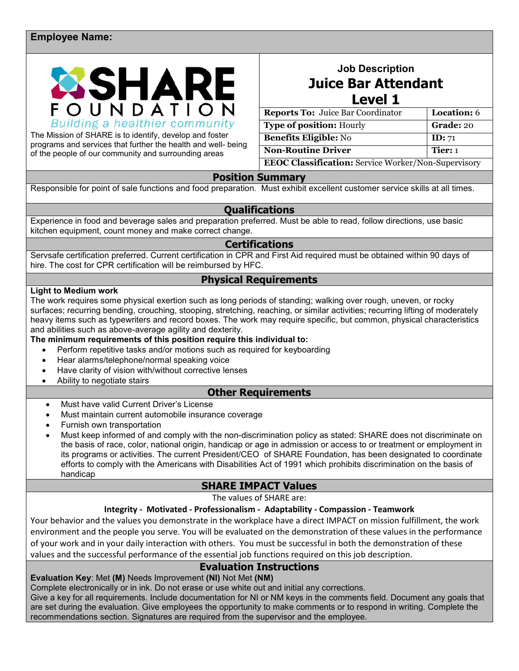#### **Employee Name:**



The Mission of SHARE is to identify, develop and foster programs and services that further the health and well- being of the people of our community and surrounding areas

## **Job Description Juice Bar Attendant Level 1**

| <b>Reports To: Juice Bar Coordinator</b>                   | Location: 6 |  |
|------------------------------------------------------------|-------------|--|
| <b>Type of position: Hourly</b>                            | Grade: 20   |  |
| <b>Benefits Eligible: No</b>                               | ID: 71      |  |
| <b>Non-Routine Driver</b>                                  | Tier: $1$   |  |
| <b>EEOC Classification:</b> Service Worker/Non-Supervisory |             |  |

**Position Summary**

Responsible for point of sale functions and food preparation. Must exhibit excellent customer service skills at all times.

#### **Qualifications**

Experience in food and beverage sales and preparation preferred. Must be able to read, follow directions, use basic kitchen equipment, count money and make correct change.

#### **Certifications**

Servsafe certification preferred. Current certification in CPR and First Aid required must be obtained within 90 days of hire. The cost for CPR certification will be reimbursed by HFC.

## **Physical Requirements**

#### **Light to Medium work**

The work requires some physical exertion such as long periods of standing; walking over rough, uneven, or rocky surfaces; recurring bending, crouching, stooping, stretching, reaching, or similar activities; recurring lifting of moderately heavy items such as typewriters and record boxes. The work may require specific, but common, physical characteristics and abilities such as above-average agility and dexterity.

**The minimum requirements of this position require this individual to:**

- Perform repetitive tasks and/or motions such as required for keyboarding
- Hear alarms/telephone/normal speaking voice
- Have clarity of vision with/without corrective lenses
- Ability to negotiate stairs

### **Other Requirements**

- Must have valid Current Driver's License
- Must maintain current automobile insurance coverage
- Furnish own transportation
- Must keep informed of and comply with the non-discrimination policy as stated: SHARE does not discriminate on the basis of race, color, national origin, handicap or age in admission or access to or treatment or employment in its programs or activities. The current President/CEO of SHARE Foundation, has been designated to coordinate efforts to comply with the Americans with Disabilities Act of 1991 which prohibits discrimination on the basis of handicap

### **SHARE IMPACT Values**

The values of SHARE are:

#### **Integrity - Motivated - Professionalism - Adaptability - Compassion - Teamwork**

Your behavior and the values you demonstrate in the workplace have a direct IMPACT on mission fulfillment, the work environment and the people you serve. You will be evaluated on the demonstration of these values in the performance of your work and in your daily interaction with others. You must be successful in both the demonstration of these values and the successful performance of the essential job functions required on this job description.

### **Evaluation Instructions**

**Evaluation Key**: Met **(M)** Needs Improvement **(NI)** Not Met **(NM)** 

Complete electronically or in ink. Do not erase or use white out and initial any corrections.

Give a key for all requirements. Include documentation for NI or NM keys in the comments field. Document any goals that are set during the evaluation. Give employees the opportunity to make comments or to respond in writing. Complete the recommendations section. Signatures are required from the supervisor and the employee.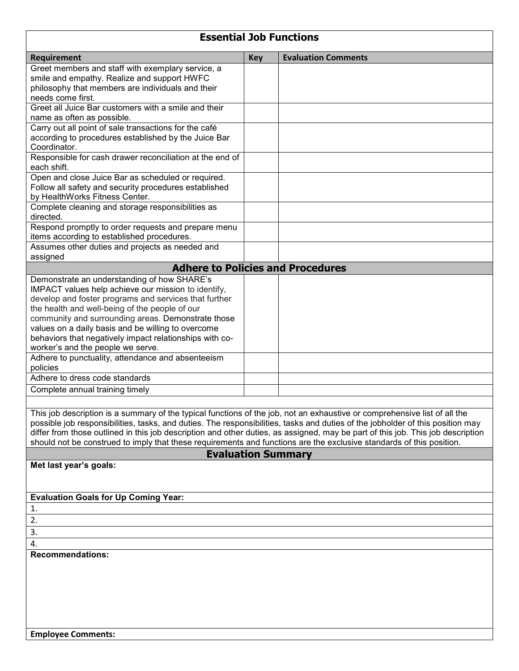# **Essential Job Functions**

| Requirement                                                                                                                                       | <b>Key</b> | <b>Evaluation Comments</b> |  |
|---------------------------------------------------------------------------------------------------------------------------------------------------|------------|----------------------------|--|
| Greet members and staff with exemplary service, a                                                                                                 |            |                            |  |
| smile and empathy. Realize and support HWFC                                                                                                       |            |                            |  |
| philosophy that members are individuals and their<br>needs come first.                                                                            |            |                            |  |
| Greet all Juice Bar customers with a smile and their                                                                                              |            |                            |  |
| name as often as possible.                                                                                                                        |            |                            |  |
| Carry out all point of sale transactions for the café                                                                                             |            |                            |  |
| according to procedures established by the Juice Bar                                                                                              |            |                            |  |
| Coordinator.                                                                                                                                      |            |                            |  |
| Responsible for cash drawer reconciliation at the end of<br>each shift.                                                                           |            |                            |  |
| Open and close Juice Bar as scheduled or required.                                                                                                |            |                            |  |
| Follow all safety and security procedures established                                                                                             |            |                            |  |
| by HealthWorks Fitness Center.<br>Complete cleaning and storage responsibilities as                                                               |            |                            |  |
| directed.                                                                                                                                         |            |                            |  |
| Respond promptly to order requests and prepare menu<br>items according to established procedures.                                                 |            |                            |  |
| Assumes other duties and projects as needed and<br>assigned                                                                                       |            |                            |  |
| <b>Adhere to Policies and Procedures</b>                                                                                                          |            |                            |  |
| Demonstrate an understanding of how SHARE's                                                                                                       |            |                            |  |
| IMPACT values help achieve our mission to identify,                                                                                               |            |                            |  |
| develop and foster programs and services that further                                                                                             |            |                            |  |
| the health and well-being of the people of our                                                                                                    |            |                            |  |
| community and surrounding areas. Demonstrate those<br>values on a daily basis and be willing to overcome                                          |            |                            |  |
| behaviors that negatively impact relationships with co-                                                                                           |            |                            |  |
| worker's and the people we serve.                                                                                                                 |            |                            |  |
| Adhere to punctuality, attendance and absenteeism                                                                                                 |            |                            |  |
| policies                                                                                                                                          |            |                            |  |
| Adhere to dress code standards                                                                                                                    |            |                            |  |
| Complete annual training timely                                                                                                                   |            |                            |  |
|                                                                                                                                                   |            |                            |  |
| This job description is a summary of the typical functions of the job, not an exhaustive or comprehensive list of all the                         |            |                            |  |
| possible job responsibilities, tasks, and duties. The responsibilities, tasks and duties of the jobholder of this position may                    |            |                            |  |
| differ from those outlined in this job description and other duties, as assigned, may be part of this job. This job description                   |            |                            |  |
| should not be construed to imply that these requirements and functions are the exclusive standards of this position.<br><b>Evaluation Summary</b> |            |                            |  |
| Met last year's goals:                                                                                                                            |            |                            |  |
|                                                                                                                                                   |            |                            |  |
|                                                                                                                                                   |            |                            |  |
| <b>Evaluation Goals for Up Coming Year:</b>                                                                                                       |            |                            |  |
| 1.                                                                                                                                                |            |                            |  |
| 2.                                                                                                                                                |            |                            |  |
| 3.                                                                                                                                                |            |                            |  |
| 4.                                                                                                                                                |            |                            |  |
| <b>Recommendations:</b>                                                                                                                           |            |                            |  |
|                                                                                                                                                   |            |                            |  |
|                                                                                                                                                   |            |                            |  |
|                                                                                                                                                   |            |                            |  |
|                                                                                                                                                   |            |                            |  |
|                                                                                                                                                   |            |                            |  |
|                                                                                                                                                   |            |                            |  |

 $\overline{\phantom{a}}$